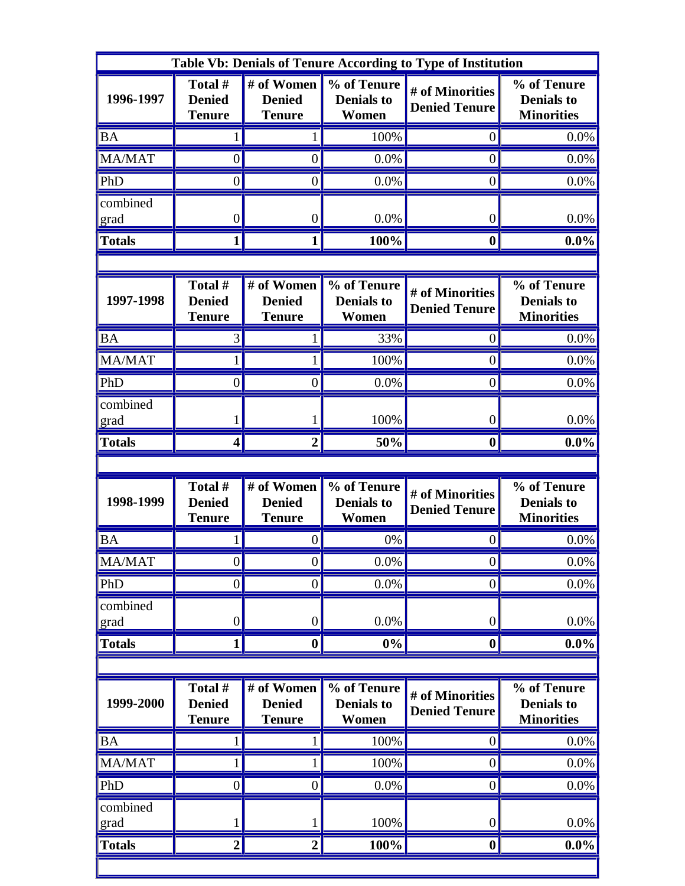| Table Vb: Denials of Tenure According to Type of Institution |                                           |                                              |                                           |                                         |                                                       |  |  |  |
|--------------------------------------------------------------|-------------------------------------------|----------------------------------------------|-------------------------------------------|-----------------------------------------|-------------------------------------------------------|--|--|--|
| 1996-1997                                                    | Total #<br><b>Denied</b><br><b>Tenure</b> | # of Women<br><b>Denied</b><br><b>Tenure</b> | % of Tenure<br><b>Denials to</b><br>Women | # of Minorities<br><b>Denied Tenure</b> | % of Tenure<br><b>Denials to</b><br><b>Minorities</b> |  |  |  |
| <b>BA</b>                                                    |                                           |                                              | 100%                                      | $\theta$                                | 0.0%                                                  |  |  |  |
| MA/MAT                                                       | $\boldsymbol{0}$                          | $\boldsymbol{0}$                             | 0.0%                                      | $\overline{0}$                          | 0.0%                                                  |  |  |  |
| PhD                                                          | $\overline{0}$                            | $\overline{0}$                               | 0.0%                                      | $\overline{0}$                          | 0.0%                                                  |  |  |  |
| combined<br>grad                                             | $\boldsymbol{0}$                          | $\boldsymbol{0}$                             | 0.0%                                      | $\boldsymbol{0}$                        | 0.0%                                                  |  |  |  |
| <b>Totals</b>                                                | 1                                         | $\mathbf{1}$                                 | 100%                                      | $\boldsymbol{0}$                        | $0.0\%$                                               |  |  |  |
|                                                              |                                           |                                              |                                           |                                         |                                                       |  |  |  |
| 1997-1998                                                    | Total #<br><b>Denied</b><br><b>Tenure</b> | # of Women<br><b>Denied</b><br><b>Tenure</b> | % of Tenure<br><b>Denials to</b><br>Women | # of Minorities<br><b>Denied Tenure</b> | % of Tenure<br><b>Denials to</b><br><b>Minorities</b> |  |  |  |
| <b>BA</b>                                                    | 3                                         |                                              | 33%                                       | $\theta$                                | 0.0%                                                  |  |  |  |
| MA/MAT                                                       |                                           | 1                                            | 100%                                      | $\overline{0}$                          | 0.0%                                                  |  |  |  |
| PhD                                                          | $\overline{0}$                            | $\boldsymbol{0}$                             | 0.0%                                      | $\overline{0}$                          | 0.0%                                                  |  |  |  |
| combined<br>grad                                             |                                           | 1                                            | 100%                                      | $\boldsymbol{0}$                        | 0.0%                                                  |  |  |  |
| <b>Totals</b>                                                | 4                                         | $\overline{2}$                               | 50%                                       | $\mathbf 0$                             | $0.0\%$                                               |  |  |  |
|                                                              |                                           |                                              |                                           |                                         |                                                       |  |  |  |
| 1998-1999                                                    | Total #<br><b>Denied</b><br><b>Tenure</b> | # of Women<br><b>Denied</b><br><b>Tenure</b> | % of Tenure<br><b>Denials to</b><br>Women | # of Minorities<br><b>Denied Tenure</b> | % of Tenure<br><b>Denials to</b><br><b>Minorities</b> |  |  |  |
| <b>BA</b>                                                    |                                           | $\overline{0}$                               | 0%                                        | $\overline{0}$                          | 0.0%                                                  |  |  |  |
| <b>MA/MAT</b>                                                | $\boldsymbol{0}$                          | $\boldsymbol{0}$                             | 0.0%                                      | $\vert 0 \vert$                         | 0.0%                                                  |  |  |  |
| PhD                                                          | $\boldsymbol{0}$                          | $\boldsymbol{0}$                             | 0.0%                                      | $\boldsymbol{0}$                        | 0.0%                                                  |  |  |  |
| combined<br>grad                                             | $\boldsymbol{0}$                          | $\boldsymbol{0}$                             | 0.0%                                      | $\boldsymbol{0}$                        | 0.0%                                                  |  |  |  |
| <b>Totals</b>                                                | 1                                         | $\boldsymbol{0}$                             | $0\%$                                     | $\boldsymbol{0}$                        | $0.0\%$                                               |  |  |  |
|                                                              |                                           |                                              |                                           |                                         |                                                       |  |  |  |
| 1999-2000                                                    | Total #<br><b>Denied</b>                  | # of Women<br><b>Denied</b>                  | % of Tenure<br><b>Denials to</b>          | # of Minorities<br><b>Denied Tenure</b> | % of Tenure<br><b>Denials to</b>                      |  |  |  |
|                                                              | <b>Tenure</b>                             | <b>Tenure</b>                                | Women                                     |                                         | <b>Minorities</b>                                     |  |  |  |
| <b>BA</b>                                                    |                                           | 1                                            | 100%                                      | $\overline{0}$                          | 0.0%                                                  |  |  |  |
| MA/MAT                                                       |                                           | $\mathbf 1$                                  | 100%                                      | $\boldsymbol{0}$                        | 0.0%                                                  |  |  |  |
| PhD                                                          | $\boldsymbol{0}$                          | $\boldsymbol{0}$                             | 0.0%                                      | $\overline{0}$                          | 0.0%                                                  |  |  |  |
| combined<br>grad                                             |                                           | $\mathbf{1}$                                 | 100%                                      | $\vert 0 \vert$                         | 0.0%                                                  |  |  |  |